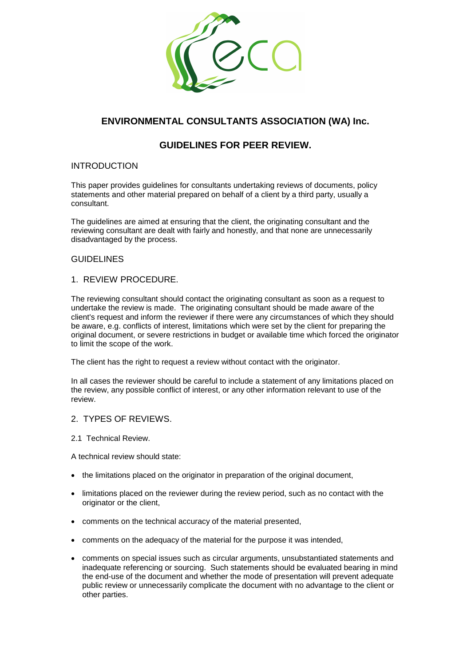

# **ENVIRONMENTAL CONSULTANTS ASSOCIATION (WA) Inc.**

# **GUIDELINES FOR PEER REVIEW.**

# INTRODUCTION

This paper provides guidelines for consultants undertaking reviews of documents, policy statements and other material prepared on behalf of a client by a third party, usually a consultant.

The guidelines are aimed at ensuring that the client, the originating consultant and the reviewing consultant are dealt with fairly and honestly, and that none are unnecessarily disadvantaged by the process.

# **GUIDELINES**

# 1. REVIEW PROCEDURE.

The reviewing consultant should contact the originating consultant as soon as a request to undertake the review is made. The originating consultant should be made aware of the client's request and inform the reviewer if there were any circumstances of which they should be aware, e.g. conflicts of interest, limitations which were set by the client for preparing the original document, or severe restrictions in budget or available time which forced the originator to limit the scope of the work.

The client has the right to request a review without contact with the originator.

In all cases the reviewer should be careful to include a statement of any limitations placed on the review, any possible conflict of interest, or any other information relevant to use of the review.

## 2. TYPES OF REVIEWS.

2.1 Technical Review.

A technical review should state:

- the limitations placed on the originator in preparation of the original document,
- limitations placed on the reviewer during the review period, such as no contact with the originator or the client,
- comments on the technical accuracy of the material presented,
- comments on the adequacy of the material for the purpose it was intended,
- comments on special issues such as circular arguments, unsubstantiated statements and inadequate referencing or sourcing. Such statements should be evaluated bearing in mind the end-use of the document and whether the mode of presentation will prevent adequate public review or unnecessarily complicate the document with no advantage to the client or other parties.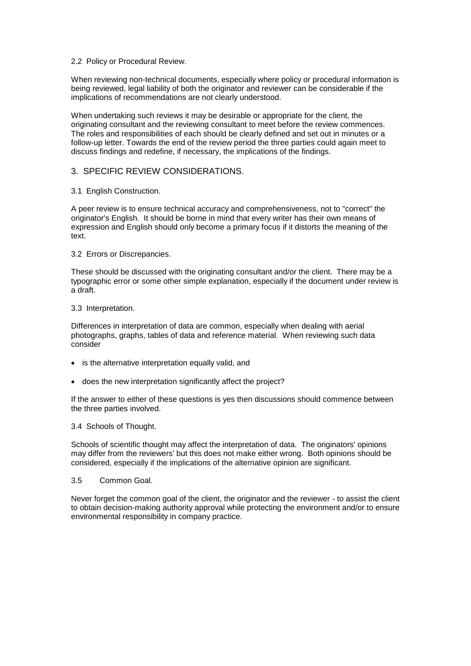#### 2.2 Policy or Procedural Review.

When reviewing non-technical documents, especially where policy or procedural information is being reviewed, legal liability of both the originator and reviewer can be considerable if the implications of recommendations are not clearly understood.

When undertaking such reviews it may be desirable or appropriate for the client, the originating consultant and the reviewing consultant to meet before the review commences. The roles and responsibilities of each should be clearly defined and set out in minutes or a follow-up letter. Towards the end of the review period the three parties could again meet to discuss findings and redefine, if necessary, the implications of the findings.

## 3. SPECIFIC REVIEW CONSIDERATIONS.

3.1 English Construction.

A peer review is to ensure technical accuracy and comprehensiveness, not to "correct" the originator's English. It should be borne in mind that every writer has their own means of expression and English should only become a primary focus if it distorts the meaning of the text.

3.2 Errors or Discrepancies.

These should be discussed with the originating consultant and/or the client. There may be a typographic error or some other simple explanation, especially if the document under review is a draft.

#### 3.3 Interpretation.

Differences in interpretation of data are common, especially when dealing with aerial photographs, graphs, tables of data and reference material. When reviewing such data consider

- is the alternative interpretation equally valid, and
- does the new interpretation significantly affect the project?

If the answer to either of these questions is yes then discussions should commence between the three parties involved.

#### 3.4 Schools of Thought.

Schools of scientific thought may affect the interpretation of data. The originators' opinions may differ from the reviewers' but this does not make either wrong. Both opinions should be considered, especially if the implications of the alternative opinion are significant.

#### 3.5 Common Goal.

Never forget the common goal of the client, the originator and the reviewer - to assist the client to obtain decision-making authority approval while protecting the environment and/or to ensure environmental responsibility in company practice.